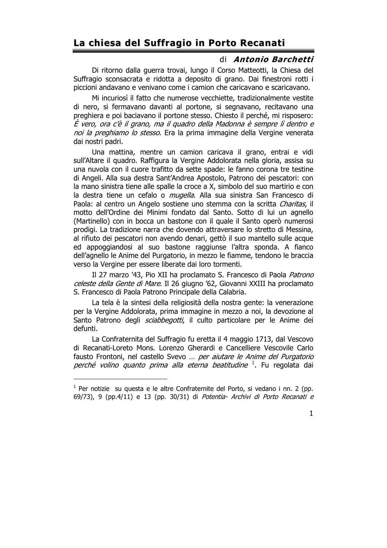## La chiesa del Suffragio in Porto Recanati

## di Antonio Barchetti

Di ritorno dalla querra trovai, lungo il Corso Matteotti, la Chiesa del Suffragio sconsacrata e ridotta a deposito di grano. Dai finestroni rotti i piccioni andavano e venivano come i camion che caricavano e scaricavano.

Mi incuriosì il fatto che numerose vecchiette, tradizionalmente vestite di nero, si fermavano davanti al portone, si segnavano, recitavano una preghiera e poi baciavano il portone stesso. Chiesto il perché, mi risposero: È vero, ora c'è il grano, ma il quadro della Madonna è sempre lì dentro e noi la preghiamo lo stesso. Era la prima immagine della Vergine venerata dai nostri padri.

Una mattina, mentre un camion caricava il grano, entrai e vidi sull'Altare il quadro. Raffigura la Vergine Addolorata nella gloria, assisa su una nuvola con il cuore trafitto da sette spade: le fanno corona tre testine di Angeli. Alla sua destra Sant'Andrea Apostolo, Patrono dei pescatori: con la mano sinistra tiene alle spalle la croce a X, simbolo del suo martirio e con la destra tiene un cefalo o *mugella*. Alla sua sinistra San Francesco di Paola: al centro un Angelo sostiene uno stemma con la scritta Charitas, il motto dell'Ordine dei Minimi fondato dal Santo. Sotto di lui un agnello (Martinello) con in bocca un bastone con il quale il Santo operò numerosi prodigi. La tradizione narra che dovendo attraversare lo stretto di Messina, al rifiuto dei pescatori non avendo denari, gettò il suo mantello sulle acque ed appoggiandosi al suo bastone raggiunse l'altra sponda. A fianco dell'agnello le Anime del Purgatorio, in mezzo le fiamme, tendono le braccia verso la Vergine per essere liberate dai loro tormenti.

Il 27 marzo '43, Pio XII ha proclamato S. Francesco di Paola Patrono celeste della Gente di Mare. Il 26 giugno '62, Giovanni XXIII ha proclamato S. Francesco di Paola Patrono Principale della Calabria.

La tela è la sintesi della religiosità della nostra gente: la venerazione per la Vergine Addolorata, prima immagine in mezzo a noi, la devozione al Santo Patrono degli *sciabbegotti*, il culto particolare per le Anime dei defunti.

La Confraternita del Suffragio fu eretta il 4 maggio 1713, dal Vescovo di Recanati-Loreto Mons. Lorenzo Gherardi e Cancelliere Vescovile Carlo fausto Frontoni, nel castello Svevo ... per aiutare le Anime del Purgatorio perché volino quanto prima alla eterna beatitudine <sup>1</sup>. Fu regolata dai

 $1$  Per notizie su questa e le altre Confraternite del Porto, si vedano i nn. 2 (pp. 69/73), 9 (pp.4/11) e 13 (pp. 30/31) di Potentia- Archivi di Porto Recanati e

 $\mathbf{1}$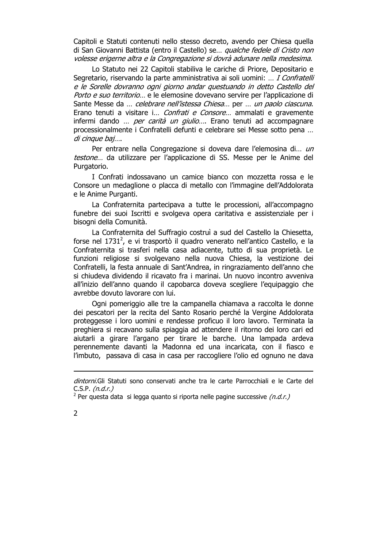Capitoli e Statuti contenuti nello stesso decreto, avendo per Chiesa quella di San Giovanni Battista (entro il Castello) se... qualche fedele di Cristo non volesse erigerne altra e la Congregazione si dovrà adunare nella medesima.

Lo Statuto nei 22 Capitoli stabiliva le cariche di Priore, Depositario e Segretario, riservando la parte amministrativa ai soli uomini: ... I Confratelli e le Sorelle dovranno ogni giorno andar questuando in detto Castello del Porto e suo territorio... e le elemosine dovevano servire per l'applicazione di Sante Messe da ... celebrare nell'istessa Chiesa... per ... un paolo ciascuna. Erano tenuti a visitare i... Confrati e Consore... ammalati e gravemente infermi dando ... *per carità un giulio...*. Erano tenuti ad accompagnare processionalmente i Confratelli defunti e celebrare sei Messe sotto pena ... di cinque baj....

Per entrare nella Congregazione si doveva dare l'elemosina di... un testone... da utilizzare per l'applicazione di SS. Messe per le Anime del Purgatorio.

I Confrati indossavano un camice bianco con mozzetta rossa e le Consore un medaglione o placca di metallo con l'immagine dell'Addolorata e le Anime Purganti.

La Confraternita partecipava a tutte le processioni, all'accompagno funebre dei suoi Iscritti e svolgeva opera caritativa e assistenziale per i bisogni della Comunità.

La Confraternita del Suffragio costruì a sud del Castello la Chiesetta, forse nel 1731<sup>2</sup>, e vi trasportò il quadro venerato nell'antico Castello, e la Confraternita si trasferì nella casa adiacente, tutto di sua proprietà. Le funzioni religiose si svolgevano nella nuova Chiesa, la vestizione dei Confratelli, la festa annuale di Sant'Andrea, in ringraziamento dell'anno che si chiudeva dividendo il ricavato fra i marinai. Un nuovo incontro avveniva all'inizio dell'anno quando il capobarca doveva scegliere l'equipaggio che avrebbe dovuto lavorare con lui.

Ogni pomeriggio alle tre la campanella chiamava a raccolta le donne dei pescatori per la recita del Santo Rosario perché la Vergine Addolorata proteggesse i loro uomini e rendesse proficuo il loro lavoro. Terminata la preghiera si recavano sulla spiaggia ad attendere il ritorno dei loro cari ed aiutarli a girare l'argano per tirare le barche. Una lampada ardeva perennemente davanti la Madonna ed una incaricata, con il fiasco e l'imbuto, passava di casa in casa per raccogliere l'olio ed ognuno ne dava

<sup>&</sup>lt;sup>2</sup> Per questa data si legga quanto si riporta nelle pagine successive (n.d.r.)



dintorni.Gli Statuti sono conservati anche tra le carte Parrocchiali e le Carte del C.S.P.  $(n.d.r.)$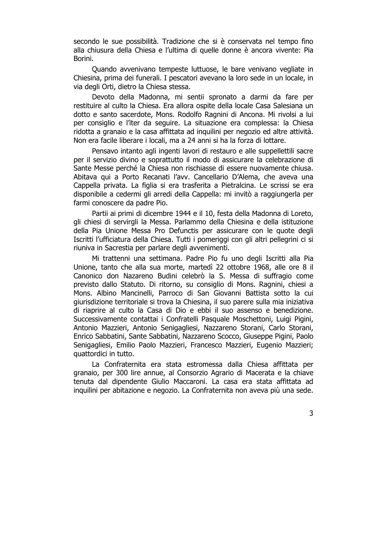secondo le sue possibilità. Tradizione che si è conservata nel tempo fino alla chiusura della Chiesa e l'ultima di quelle donne è ancora vivente: Pia Borini.

Quando avvenivano tempeste luttuose, le bare venivano vegliate in Chiesina, prima dei funerali. I pescatori avevano la loro sede in un locale, in via degli Orti, dietro la Chiesa stessa.

Devoto della Madonna, mi sentii spronato a darmi da fare per restituire al culto la Chiesa. Era allora ospite della locale Casa Salesiana un dotto e santo sacerdote, Mons. Rodolfo Ragnini di Ancona. Mi rivolsi a lui per consiglio e l'iter da seguire. La situazione era complessa: la Chiesa ridotta a granaio e la casa affittata ad inguilini per negozio ed altre attività. Non era facile liberare i locali, ma a 24 anni si ha la forza di lottare.

Pensavo intanto agli ingenti lavori di restauro e alle suppellettili sacre per il servizio divino e soprattutto il modo di assicurare la celebrazione di Sante Messe perché la Chiesa non rischiasse di essere nuovamente chiusa. Abitava qui a Porto Recanati l'avv. Cancellario D'Alema, che aveva una Cappella privata. La figlia si era trasferita a Pietralcina. Le scrissi se era disponibile a cedermi gli arredi della Cappella: mi invitò a raggiungerla per farmi conoscere da padre Pio.

Partii ai primi di dicembre 1944 e il 10, festa della Madonna di Loreto, gli chiesi di servirgli la Messa. Parlammo della Chiesina e della istituzione della Pia Unione Messa Pro Defunctis per assicurare con le quote degli Iscritti l'ufficiatura della Chiesa. Tutti i pomeriggi con gli altri pellegrini ci si riuniva in Sacrestia per parlare degli avvenimenti.

Mi trattenni una settimana. Padre Pio fu uno degli Iscritti alla Pia Unione, tanto che alla sua morte, martedì 22 ottobre 1968, alle ore 8 il Canonico don Nazareno Budini celebrò la S. Messa di suffragio come previsto dallo Statuto. Di ritorno, su consiglio di Mons. Ragnini, chiesi a Mons. Albino Mancinelli, Parroco di San Giovanni Battista sotto la cui giurisdizione territoriale si trova la Chiesina, il suo parere sulla mia iniziativa di riaprire al culto la Casa di Dio e ebbi il suo assenso e benedizione. Successivamente contattai i Confratelli Pasquale Moschettoni, Luigi Pigini, Antonio Mazzieri, Antonio Senigagliesi, Nazzareno Storani, Carlo Storani, Enrico Sabbatini, Sante Sabbatini, Nazzareno Scocco, Giuseppe Pigini, Paolo Senigagliesi, Emilio Paolo Mazzieri, Francesco Mazzieri, Eugenio Mazzieri; quattordici in tutto.

La Confraternita era stata estromessa dalla Chiesa affittata per granaio, per 300 lire annue, al Consorzio Agrario di Macerata e la chiave tenuta dal dipendente Giulio Maccaroni. La casa era stata affittata ad inguilini per abitazione e negozio. La Confraternita non aveva più una sede.

3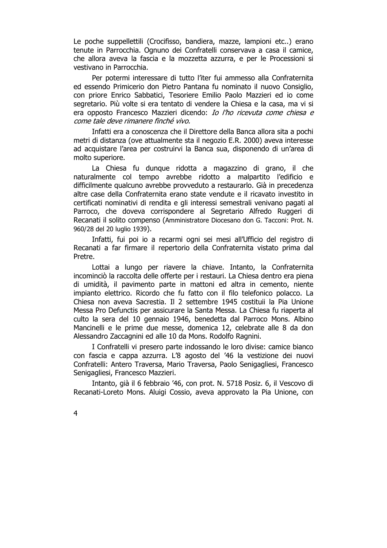Le poche suppellettili (Crocifisso, bandiera, mazze, lampioni etc..) erano tenute in Parrocchia. Ognuno dei Confratelli conservava a casa il camice, che allora aveva la fascia e la mozzetta azzurra, e per le Processioni si vestivano in Parrocchia.

Per potermi interessare di tutto l'iter fui ammesso alla Confraternita ed essendo Primicerio don Pietro Pantana fu nominato il nuovo Consiglio, con priore Enrico Sabbatici, Tesoriere Emilio Paolo Mazzieri ed io come segretario. Più volte si era tentato di vendere la Chiesa e la casa, ma vi si era opposto Francesco Mazzieri dicendo: *Io l'ho ricevuta come chiesa e* come tale deve rimanere finché vivo.

Infatti era a conoscenza che il Direttore della Banca allora sita a pochi metri di distanza (ove attualmente sta il negozio E.R. 2000) aveva interesse ad acquistare l'area per costruirvi la Banca sua, disponendo di un'area di molto superiore.

La Chiesa fu dunque ridotta a magazzino di grano, il che naturalmente col tempo avrebbe ridotto a malpartito l'edificio e difficilmente qualcuno avrebbe provveduto a restaurarlo. Già in precedenza altre case della Confraternita erano state vendute e il ricavato investito in certificati nominativi di rendita e gli interessi semestrali venivano pagati al Parroco, che doveva corrispondere al Segretario Alfredo Ruggeri di Recanati il solito compenso (Amministratore Diocesano don G. Tacconi: Prot. N. 960/28 del 20 luglio 1939).

Infatti, fui poi io a recarmi ogni sei mesi all'Ufficio del registro di Recanati a far firmare il repertorio della Confraternita vistato prima dal Pretre.

Lottai a lungo per riavere la chiave. Intanto, la Confraternita incominciò la raccolta delle offerte per i restauri. La Chiesa dentro era piena di umidità, il pavimento parte in mattoni ed altra in cemento, niente impianto elettrico. Ricordo che fu fatto con il filo telefonico polacco. La Chiesa non aveva Sacrestia. Il 2 settembre 1945 costituii la Pia Unione Messa Pro Defunctis per assicurare la Santa Messa. La Chiesa fu riaperta al culto la sera del 10 gennaio 1946, benedetta dal Parroco Mons. Albino Mancinelli e le prime due messe, domenica 12, celebrate alle 8 da don Alessandro Zaccagnini ed alle 10 da Mons. Rodolfo Ragnini.

I Confratelli vi presero parte indossando le loro divise: camice bianco con fascia e cappa azzurra. L'8 agosto del '46 la vestizione dei nuovi Confratelli: Antero Traversa, Mario Traversa, Paolo Senigagliesi, Francesco Senigagliesi, Francesco Mazzieri.

Intanto, già il 6 febbraio '46, con prot. N. 5718 Posiz. 6, il Vescovo di Recanati-Loreto Mons. Aluigi Cossio, aveva approvato la Pia Unione, con

 $\overline{4}$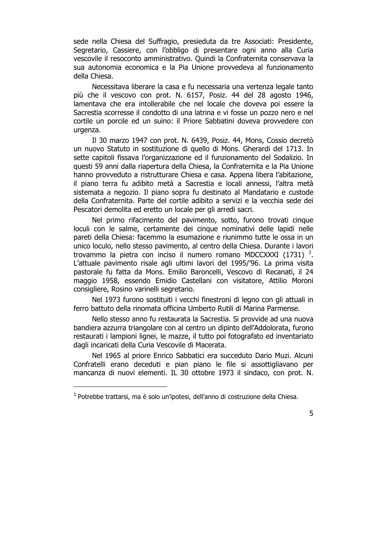sede nella Chiesa del Suffragio, presieduta da tre Associati: Presidente, Segretario, Cassiere, con l'obbligo di presentare ogni anno alla Curia vescovile il resoconto amministrativo. Quindi la Confraternita conservava la sua autonomia economica e la Pia Unione provvedeva al funzionamento della Chiesa.

Necessitava liberare la casa e fu necessaria una vertenza legale tanto più che il vescovo con prot. N. 6157, Posiz. 44 del 28 agosto 1946, lamentava che era intollerabile che nel locale che doveva poi essere la Sacrestia scorresse il condotto di una latrina e vi fosse un pozzo nero e nel cortile un porcile ed un suino: il Priore Sabbatini doveva provvedere con urgenza.

Il 30 marzo 1947 con prot. N. 6439, Posiz. 44, Mons, Cossio decretò un nuovo Statuto in sostituzione di quello di Mons. Gherardi del 1713. In sette capitoli fissava l'organizzazione ed il funzionamento del Sodalizio. In questi 59 anni dalla riapertura della Chiesa, la Confraternita e la Pia Unione hanno provveduto a ristrutturare Chiesa e casa. Appena libera l'abitazione. il piano terra fu adibito metà a Sacrestia e locali annessi, l'altra metà sistemata a negozio. Il piano sopra fu destinato al Mandatario e custode della Confraternita. Parte del cortile adibito a servizi e la vecchia sede dei Pescatori demolita ed eretto un locale per gli arredi sacri.

Nel primo rifacimento del pavimento, sotto, furono trovati cinque loculi con le salme, certamente dei cinque nominativi delle lapidi nelle pareti della Chiesa: facemmo la esumazione e riunimmo tutte le ossa in un unico loculo, nello stesso pavimento, al centro della Chiesa. Durante i lavori trovammo la pietra con inciso il numero romano MDCCXXXI (1731)<sup>3</sup>. L'attuale pavimento risale agli ultimi lavori del 1995/'96. La prima visita pastorale fu fatta da Mons. Emilio Baroncelli, Vescovo di Recanati, il 24 maggio 1958, essendo Emidio Castellani con visitatore, Attilio Moroni consigliere, Rosino varinelli segretario.

Nel 1973 furono sostituiti i vecchi finestroni di legno con gli attuali in ferro battuto della rinomata officina Umberto Rutili di Marina Parmense.

Nello stesso anno fu restaurata la Sacrestia. Si provvide ad una nuova bandiera azzurra triangolare con al centro un dipinto dell'Addolorata, furono restaurati i lampioni lignei, le mazze, il tutto poi fotografato ed inventariato dagli incaricati della Curia Vescovile di Macerata.

Nel 1965 al priore Enrico Sabbatici era succeduto Dario Muzi. Alcuni Confratelli erano deceduti e pian piano le file si assottigliavano per mancanza di nuovi elementi. IL 30 ottobre 1973 il sindaco, con prot. N.

<sup>&</sup>lt;sup>3</sup> Potrebbe trattarsi, ma è solo un'ipotesi, dell'anno di costruzione della Chiesa.